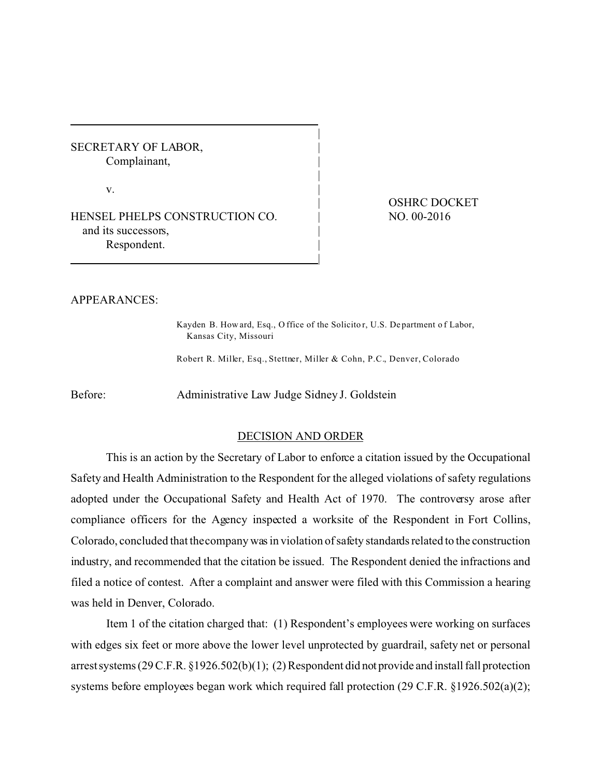SECRETARY OF LABOR, Complainant,

 $\mathbf{v}$ .

HENSEL PHELPS CONSTRUCTION CO. and its successors, Respondent.

OSHRC DOCKET NO. 00-2016

## APPEARANCES:

Kayden B. How ard, Esq., O ffice of the Solicito r, U.S. De partment o f Labor, Kansas City, Missouri

|

|

|

|

Robert R. Miller, Esq., Stettner, Miller & Cohn, P.C., Denver, Colorado

Before: Administrative Law Judge Sidney J. Goldstein

## DECISION AND ORDER

This is an action by the Secretary of Labor to enforce a citation issued by the Occupational Safety and Health Administration to the Respondent for the alleged violations of safety regulations adopted under the Occupational Safety and Health Act of 1970. The controversy arose after compliance officers for the Agency inspected a worksite of the Respondent in Fort Collins, Colorado, concluded that thecompany was in violation of safety standards related to the construction industry, and recommended that the citation be issued. The Respondent denied the infractions and filed a notice of contest. After a complaint and answer were filed with this Commission a hearing was held in Denver, Colorado.

Item 1 of the citation charged that: (1) Respondent's employees were working on surfaces with edges six feet or more above the lower level unprotected by guardrail, safety net or personal arrest systems (29 C.F.R. §1926.502(b)(1); (2) Respondent did not provide and install fall protection systems before employees began work which required fall protection (29 C.F.R. §1926.502(a)(2);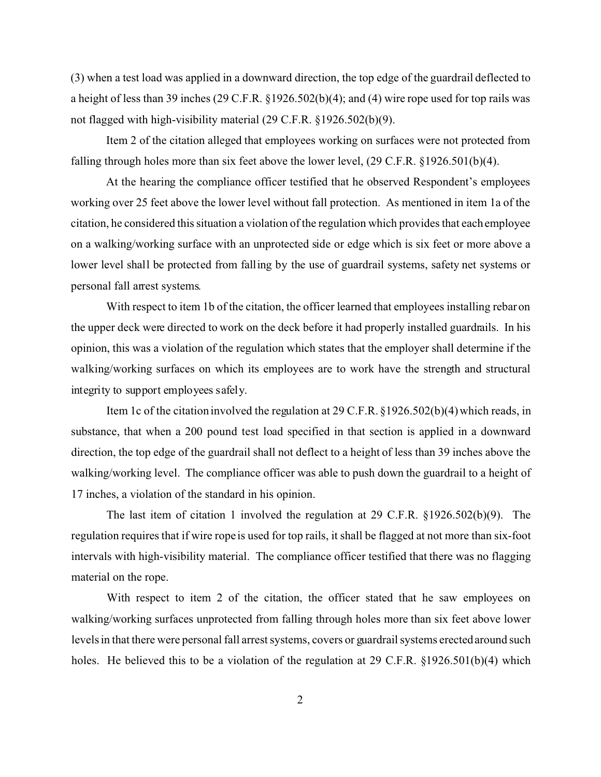(3) when a test load was applied in a downward direction, the top edge of the guardrail deflected to a height of less than 39 inches (29 C.F.R. §1926.502(b)(4); and (4) wire rope used for top rails was not flagged with high-visibility material (29 C.F.R. §1926.502(b)(9).

Item 2 of the citation alleged that employees working on surfaces were not protected from falling through holes more than six feet above the lower level, (29 C.F.R. §1926.501(b)(4).

At the hearing the compliance officer testified that he observed Respondent's employees working over 25 feet above the lower level without fall protection. As mentioned in item 1a of the citation, he considered this situation a violation of the regulation which provides that each employee on a walking/working surface with an unprotected side or edge which is six feet or more above a lower level shall be protected from falling by the use of guardrail systems, safety net systems or personal fall arrest systems.

With respect to item 1b of the citation, the officer learned that employees installing rebar on the upper deck were directed to work on the deck before it had properly installed guardrails. In his opinion, this was a violation of the regulation which states that the employer shall determine if the walking/working surfaces on which its employees are to work have the strength and structural integrity to support employees safely.

Item 1c of the citation involved the regulation at 29 C.F.R. §1926.502(b)(4) which reads, in substance, that when a 200 pound test load specified in that section is applied in a downward direction, the top edge of the guardrail shall not deflect to a height of less than 39 inches above the walking/working level. The compliance officer was able to push down the guardrail to a height of 17 inches, a violation of the standard in his opinion.

The last item of citation 1 involved the regulation at 29 C.F.R. §1926.502(b)(9). The regulation requires that if wire rope is used for top rails, it shall be flagged at not more than six-foot intervals with high-visibility material. The compliance officer testified that there was no flagging material on the rope.

With respect to item 2 of the citation, the officer stated that he saw employees on walking/working surfaces unprotected from falling through holes more than six feet above lower levels in that there were personal fall arrest systems, covers or guardrail systems erected around such holes. He believed this to be a violation of the regulation at 29 C.F.R. §1926.501(b)(4) which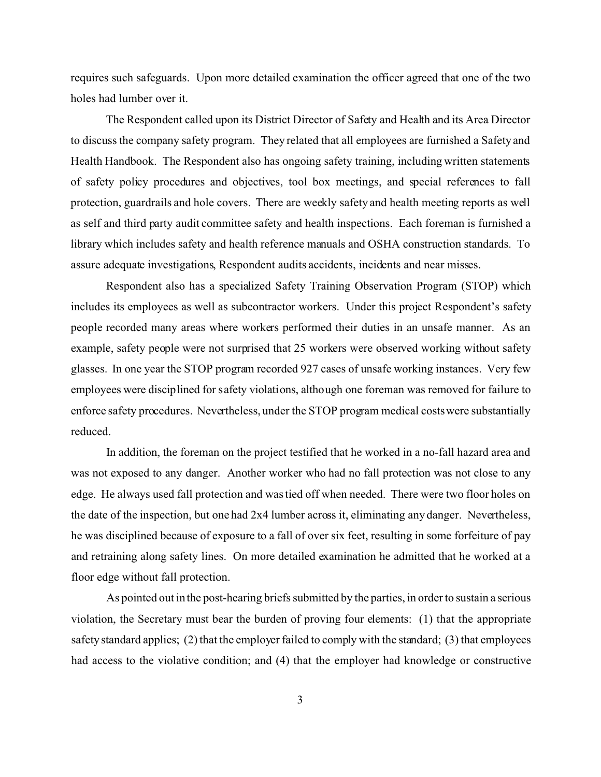requires such safeguards. Upon more detailed examination the officer agreed that one of the two holes had lumber over it.

The Respondent called upon its District Director of Safety and Health and its Area Director to discuss the company safety program. They related that all employees are furnished a Safety and Health Handbook. The Respondent also has ongoing safety training, including written statements of safety policy procedures and objectives, tool box meetings, and special references to fall protection, guardrails and hole covers. There are weekly safety and health meeting reports as well as self and third party audit committee safety and health inspections. Each foreman is furnished a library which includes safety and health reference manuals and OSHA construction standards. To assure adequate investigations, Respondent audits accidents, incidents and near misses.

Respondent also has a specialized Safety Training Observation Program (STOP) which includes its employees as well as subcontractor workers. Under this project Respondent's safety people recorded many areas where workers performed their duties in an unsafe manner. As an example, safety people were not surprised that 25 workers were observed working without safety glasses. In one year the STOP program recorded 927 cases of unsafe working instances. Very few employees were disciplined for safety violations, although one foreman was removed for failure to enforce safety procedures. Nevertheless, under the STOP program medical costs were substantially reduced.

In addition, the foreman on the project testified that he worked in a no-fall hazard area and was not exposed to any danger. Another worker who had no fall protection was not close to any edge. He always used fall protection and was tied off when needed. There were two floor holes on the date of the inspection, but one had 2x4 lumber across it, eliminating any danger. Nevertheless, he was disciplined because of exposure to a fall of over six feet, resulting in some forfeiture of pay and retraining along safety lines. On more detailed examination he admitted that he worked at a floor edge without fall protection.

As pointed out in the post-hearing briefs submitted by the parties, in order to sustain a serious violation, the Secretary must bear the burden of proving four elements: (1) that the appropriate safety standard applies; (2) that the employer failed to comply with the standard; (3) that employees had access to the violative condition; and (4) that the employer had knowledge or constructive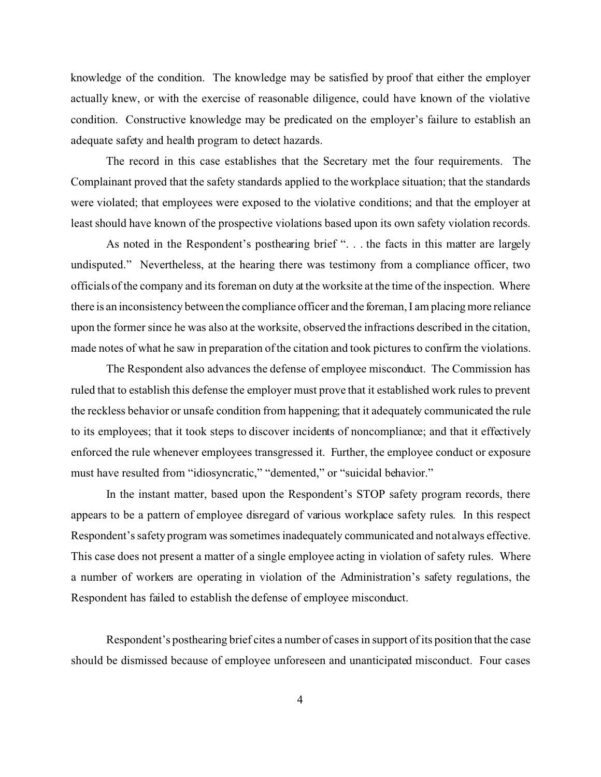knowledge of the condition. The knowledge may be satisfied by proof that either the employer actually knew, or with the exercise of reasonable diligence, could have known of the violative condition. Constructive knowledge may be predicated on the employer's failure to establish an adequate safety and health program to detect hazards.

The record in this case establishes that the Secretary met the four requirements. The Complainant proved that the safety standards applied to the workplace situation; that the standards were violated; that employees were exposed to the violative conditions; and that the employer at least should have known of the prospective violations based upon its own safety violation records.

As noted in the Respondent's posthearing brief ". . . the facts in this matter are largely undisputed." Nevertheless, at the hearing there was testimony from a compliance officer, two officials of the company and its foreman on duty at the worksite at the time of the inspection. Where there is an inconsistency between the compliance officer and the foreman, I am placing more reliance upon the former since he was also at the worksite, observed the infractions described in the citation, made notes of what he saw in preparation of the citation and took pictures to confirm the violations.

The Respondent also advances the defense of employee misconduct. The Commission has ruled that to establish this defense the employer must prove that it established work rules to prevent the reckless behavior or unsafe condition from happening; that it adequately communicated the rule to its employees; that it took steps to discover incidents of noncompliance; and that it effectively enforced the rule whenever employees transgressed it. Further, the employee conduct or exposure must have resulted from "idiosyncratic," "demented," or "suicidal behavior."

In the instant matter, based upon the Respondent's STOP safety program records, there appears to be a pattern of employee disregard of various workplace safety rules. In this respect Respondent's safety program was sometimes inadequately communicated and not always effective. This case does not present a matter of a single employee acting in violation of safety rules. Where a number of workers are operating in violation of the Administration's safety regulations, the Respondent has failed to establish the defense of employee misconduct.

Respondent's posthearing brief cites a number of cases in support of its position that the case should be dismissed because of employee unforeseen and unanticipated misconduct. Four cases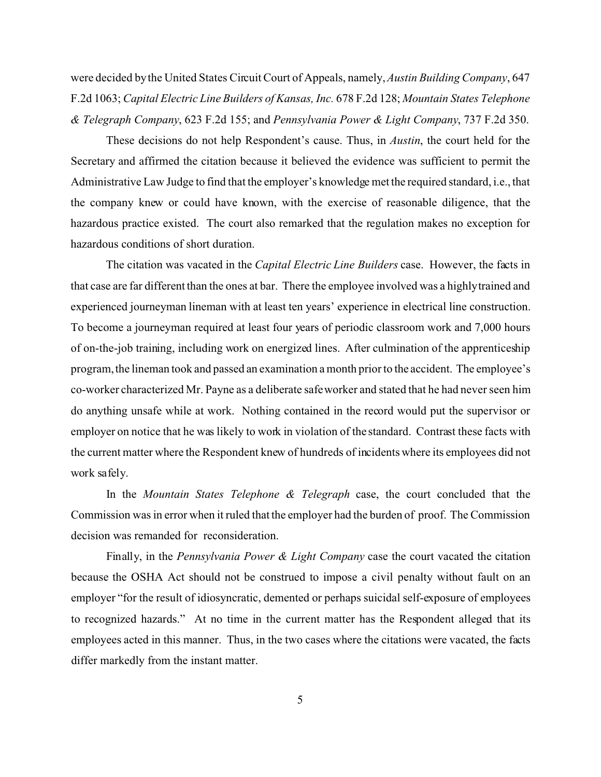were decided by the United States Circuit Court of Appeals, namely, *Austin Building Company*, 647 F.2d 1063; *Capital Electric Line Builders of Kansas, Inc.* 678 F.2d 128; *Mountain States Telephone & Telegraph Company*, 623 F.2d 155; and *Pennsylvania Power & Light Company*, 737 F.2d 350.

These decisions do not help Respondent's cause. Thus, in *Austin*, the court held for the Secretary and affirmed the citation because it believed the evidence was sufficient to permit the Administrative Law Judge to find that the employer's knowledge met the required standard, i.e., that the company knew or could have known, with the exercise of reasonable diligence, that the hazardous practice existed. The court also remarked that the regulation makes no exception for hazardous conditions of short duration.

The citation was vacated in the *Capital Electric Line Builders* case. However, the facts in that case are far different than the ones at bar. There the employee involved was a highlytrained and experienced journeyman lineman with at least ten years' experience in electrical line construction. To become a journeyman required at least four years of periodic classroom work and 7,000 hours of on-the-job training, including work on energized lines. After culmination of the apprenticeship program, the lineman took and passed an examination a month prior to the accident. The employee's co-worker characterized Mr. Payne as a deliberate safe worker and stated that he had never seen him do anything unsafe while at work. Nothing contained in the record would put the supervisor or employer on notice that he was likely to work in violation of the standard. Contrast these facts with the current matter where the Respondent knew of hundreds of incidents where its employees did not work safely.

In the *Mountain States Telephone & Telegraph* case, the court concluded that the Commission was in error when it ruled that the employer had the burden of proof. The Commission decision was remanded for reconsideration.

Finally, in the *Pennsylvania Power & Light Company* case the court vacated the citation because the OSHA Act should not be construed to impose a civil penalty without fault on an employer "for the result of idiosyncratic, demented or perhaps suicidal self-exposure of employees to recognized hazards." At no time in the current matter has the Respondent alleged that its employees acted in this manner. Thus, in the two cases where the citations were vacated, the facts differ markedly from the instant matter.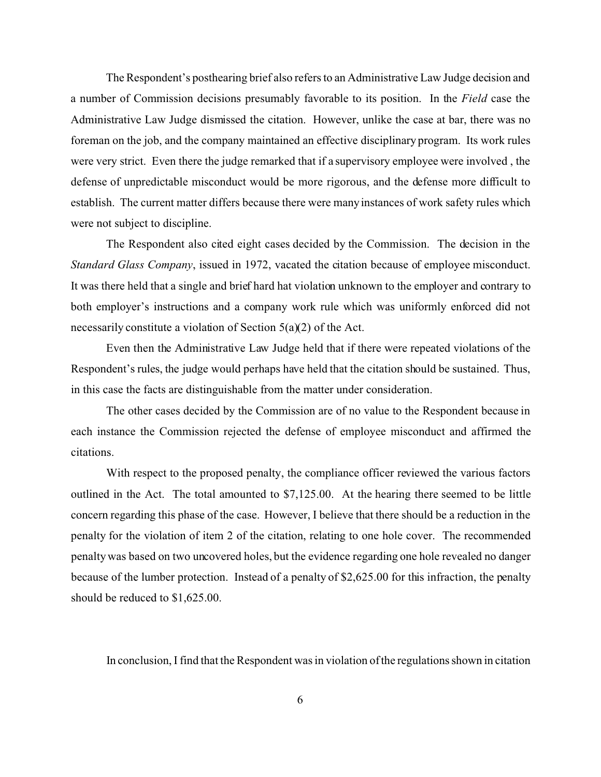The Respondent's posthearing brief also refers to an Administrative Law Judge decision and a number of Commission decisions presumably favorable to its position. In the *Field* case the Administrative Law Judge dismissed the citation. However, unlike the case at bar, there was no foreman on the job, and the company maintained an effective disciplinary program. Its work rules were very strict. Even there the judge remarked that if a supervisory employee were involved , the defense of unpredictable misconduct would be more rigorous, and the defense more difficult to establish. The current matter differs because there were many instances of work safety rules which were not subject to discipline.

The Respondent also cited eight cases decided by the Commission. The decision in the *Standard Glass Company*, issued in 1972, vacated the citation because of employee misconduct. It was there held that a single and brief hard hat violation unknown to the employer and contrary to both employer's instructions and a company work rule which was uniformly enforced did not necessarily constitute a violation of Section 5(a)(2) of the Act.

Even then the Administrative Law Judge held that if there were repeated violations of the Respondent's rules, the judge would perhaps have held that the citation should be sustained. Thus, in this case the facts are distinguishable from the matter under consideration.

The other cases decided by the Commission are of no value to the Respondent because in each instance the Commission rejected the defense of employee misconduct and affirmed the citations.

With respect to the proposed penalty, the compliance officer reviewed the various factors outlined in the Act. The total amounted to \$7,125.00. At the hearing there seemed to be little concern regarding this phase of the case. However, I believe that there should be a reduction in the penalty for the violation of item 2 of the citation, relating to one hole cover. The recommended penalty was based on two uncovered holes, but the evidence regarding one hole revealed no danger because of the lumber protection. Instead of a penalty of \$2,625.00 for this infraction, the penalty should be reduced to \$1,625.00.

In conclusion, I find that the Respondent was in violation of the regulations shown in citation